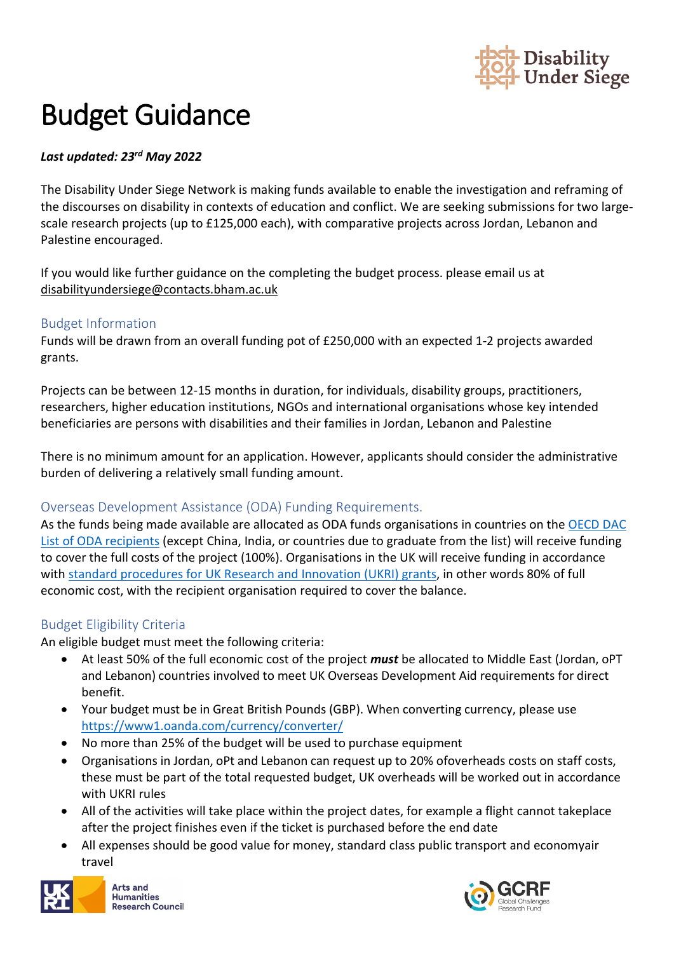

# Budget Guidance

#### *Last updated: 23rd May 2022*

The Disability Under Siege Network is making funds available to enable the investigation and reframing of the discourses on disability in contexts of education and conflict. We are seeking submissions for two largescale research projects (up to £125,000 each), with comparative projects across Jordan, Lebanon and Palestine encouraged.

If you would like further guidance on the completing the budget process. please email us at [disabilityundersiege@contacts.bham.ac.uk](mailto:disabilityundersiege@contacts.bham.ac.uk)

#### Budget Information

Funds will be drawn from an overall funding pot of £250,000 with an expected 1-2 projects awarded grants.

Projects can be between 12-15 months in duration, for individuals, disability groups, practitioners, researchers, higher education institutions, NGOs and international organisations whose key intended beneficiaries are persons with disabilities and their families in Jordan, Lebanon and Palestine

There is no minimum amount for an application. However, applicants should consider the administrative burden of delivering a relatively small funding amount.

#### Overseas Development Assistance (ODA) Funding Requirements.

As the funds being made available are allocated as ODA funds organisations in countries on the [OECD DAC](https://www.oecd.org/dac/financing-sustainable-development/development-finance-standards/daclist.htm)  [List of ODA recipients](https://www.oecd.org/dac/financing-sustainable-development/development-finance-standards/daclist.htm) (except China, India, or countries due to graduate from the list) will receive funding to cover the full costs of the project (100%). Organisations in the UK will receive funding in accordance with [standard procedures for UK Research and Innovation \(UKRI\) grants,](https://www.ukri.org/wp-content/uploads/2020/10/UKRI-271020-GCRFODAGuidance.pdf) in other words 80% of full economic cost, with the recipient organisation required to cover the balance.

#### Budget Eligibility Criteria

An eligible budget must meet the following criteria:

- At least 50% of the full economic cost of the project *must* be allocated to Middle East (Jordan, oPT and Lebanon) countries involved to meet UK Overseas Development Aid requirements for direct benefit.
- Your budget must be in Great British Pounds (GBP). When converting currency, please use <https://www1.oanda.com/currency/converter/>
- No more than 25% of the budget will be used to purchase equipment
- Organisations in Jordan, oPt and Lebanon can request up to 20% ofoverheads costs on staff costs, these must be part of the total requested budget, UK overheads will be worked out in accordance with UKRI rules
- All of the activities will take place within the project dates, for example a flight cannot takeplace after the project finishes even if the ticket is purchased before the end date
- All expenses should be good value for money, standard class public transport and economyair travel



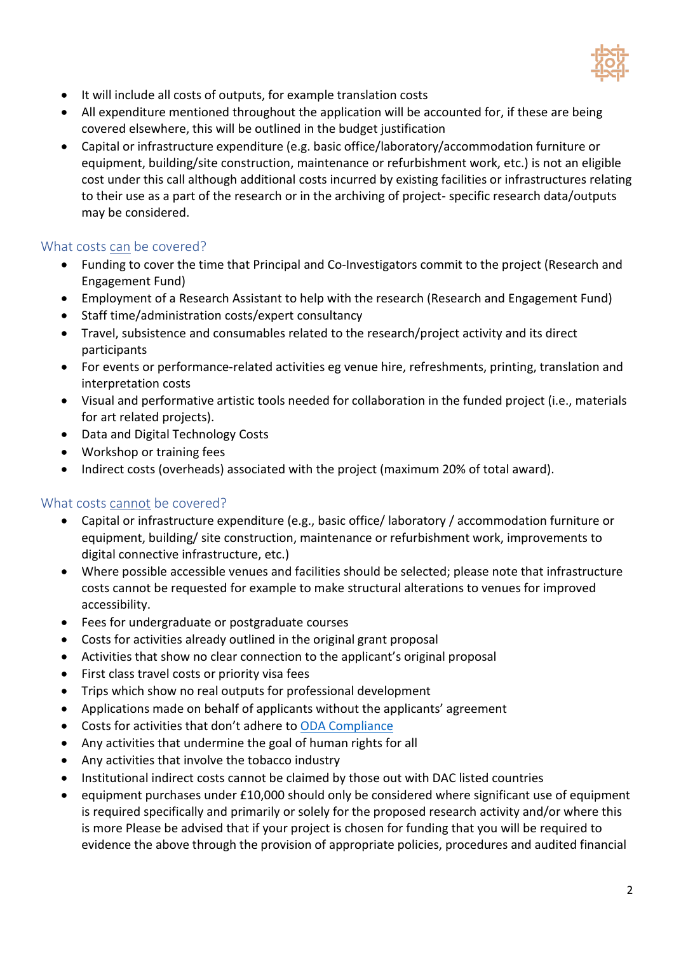

- It will include all costs of outputs, for example translation costs
- All expenditure mentioned throughout the application will be accounted for, if these are being covered elsewhere, this will be outlined in the budget justification
- Capital or infrastructure expenditure (e.g. basic office/laboratory/accommodation furniture or equipment, building/site construction, maintenance or refurbishment work, etc.) is not an eligible cost under this call although additional costs incurred by existing facilities or infrastructures relating to their use as a part of the research or in the archiving of project- specific research data/outputs may be considered.

#### What costs can be covered?

- Funding to cover the time that Principal and Co-Investigators commit to the project (Research and Engagement Fund)
- Employment of a Research Assistant to help with the research (Research and Engagement Fund)
- Staff time/administration costs/expert consultancy
- Travel, subsistence and consumables related to the research/project activity and its direct participants
- For events or performance-related activities eg venue hire, refreshments, printing, translation and interpretation costs
- Visual and performative artistic tools needed for collaboration in the funded project (i.e., materials for art related projects).
- Data and Digital Technology Costs
- Workshop or training fees
- Indirect costs (overheads) associated with the project (maximum 20% of total award).

#### What costs cannot be covered?

- Capital or infrastructure expenditure (e.g., basic office/ laboratory / accommodation furniture or equipment, building/ site construction, maintenance or refurbishment work, improvements to digital connective infrastructure, etc.)
- Where possible accessible venues and facilities should be selected; please note that infrastructure costs cannot be requested for example to make structural alterations to venues for improved accessibility.
- Fees for undergraduate or postgraduate courses
- Costs for activities already outlined in the original grant proposal
- Activities that show no clear connection to the applicant's original proposal
- First class travel costs or priority visa fees
- Trips which show no real outputs for professional development
- Applications made on behalf of applicants without the applicants' agreement
- Costs for activities that don't adhere to [ODA Compliance](https://www.ukri.org/wp-content/uploads/2020/10/UKRI-271020-GCRFODAGuidance.pdf)
- Any activities that undermine the goal of human rights for all
- Any activities that involve the tobacco industry
- Institutional indirect costs cannot be claimed by those out with DAC listed countries
- equipment purchases under £10,000 should only be considered where significant use of equipment is required specifically and primarily or solely for the proposed research activity and/or where this is more Please be advised that if your project is chosen for funding that you will be required to evidence the above through the provision of appropriate policies, procedures and audited financial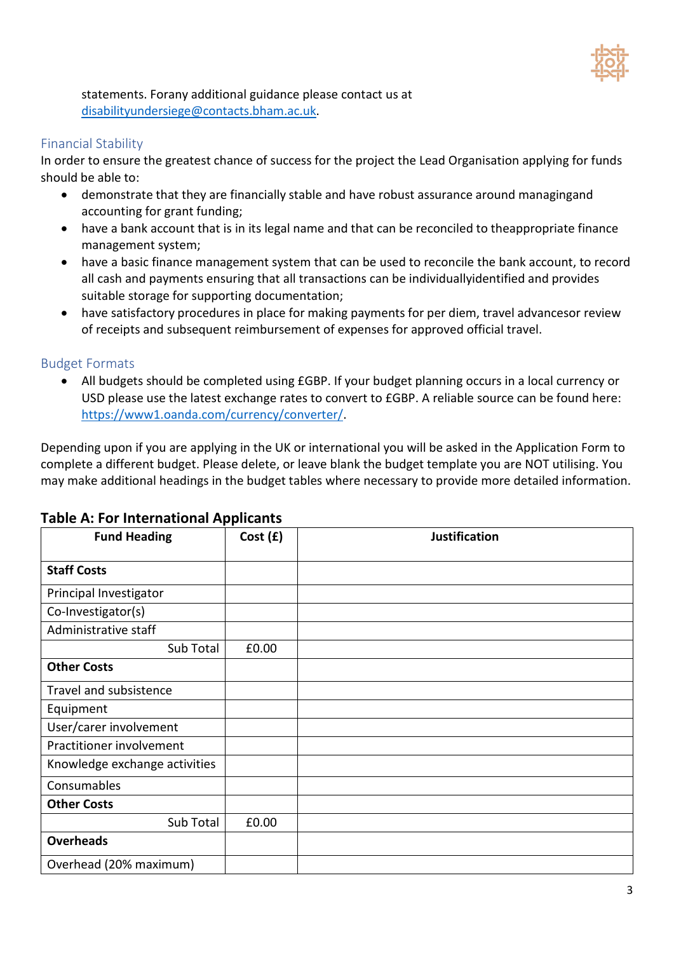

statements. Forany additional guidance please contact us at [disabilityundersiege@contacts.bham.ac.uk.](mailto:disabilityundersiege@contacts.bham.ac.uk)

#### Financial Stability

In order to ensure the greatest chance of success for the project the Lead Organisation applying for funds should be able to:

- demonstrate that they are financially stable and have robust assurance around managingand accounting for grant funding;
- have a bank account that is in its legal name and that can be reconciled to theappropriate finance management system;
- have a basic finance management system that can be used to reconcile the bank account, to record all cash and payments ensuring that all transactions can be individuallyidentified and provides suitable storage for supporting documentation;
- have satisfactory procedures in place for making payments for per diem, travel advancesor review of receipts and subsequent reimbursement of expenses for approved official travel.

#### Budget Formats

• All budgets should be completed using £GBP. If your budget planning occurs in a local currency or USD please use the latest exchange rates to convert to £GBP. A reliable source can be found here: [https://www1.oanda.com/currency/converter/.](https://www1.oanda.com/currency/converter/)

Depending upon if you are applying in the UK or international you will be asked in the Application Form to complete a different budget. Please delete, or leave blank the budget template you are NOT utilising. You may make additional headings in the budget tables where necessary to provide more detailed information.

## **Fund Heading Cost (£) Justification Staff Costs** Principal Investigator Co-Investigator(s) Administrative staff Sub Total E0.00 **Other Costs** Travel and subsistence Equipment User/carer involvement Practitioner involvement Knowledge exchange activities Consumables **Other Costs** Sub Total  $\vert$  £0.00 **Overheads** Overhead (20% maximum)

#### **Table A: For International Applicants**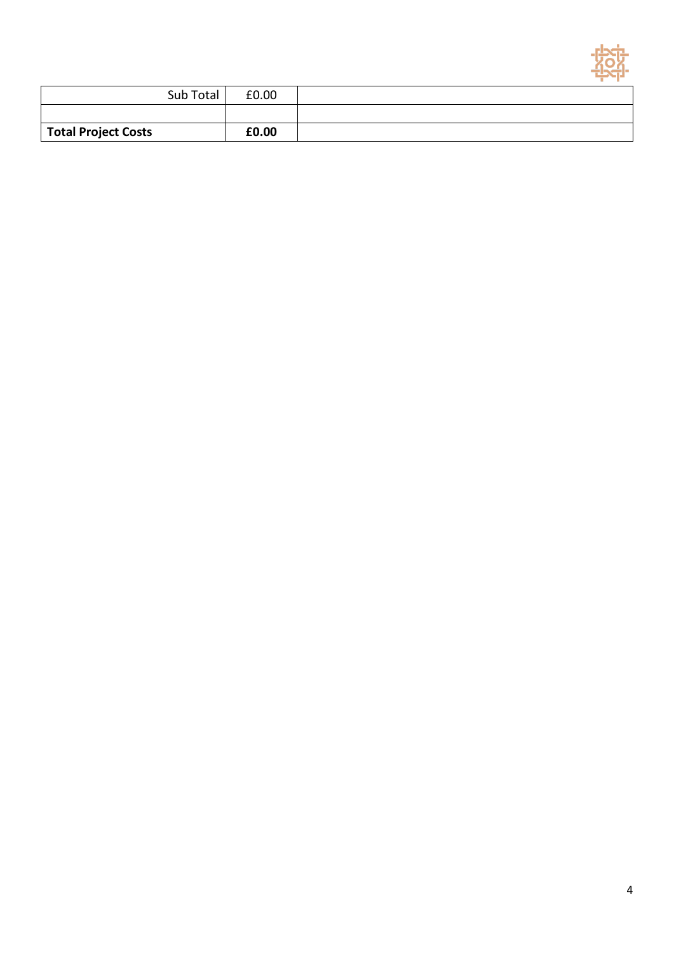

|                            | Sub Total | £0.00 |  |
|----------------------------|-----------|-------|--|
|                            |           |       |  |
| <b>Total Project Costs</b> |           | £0.00 |  |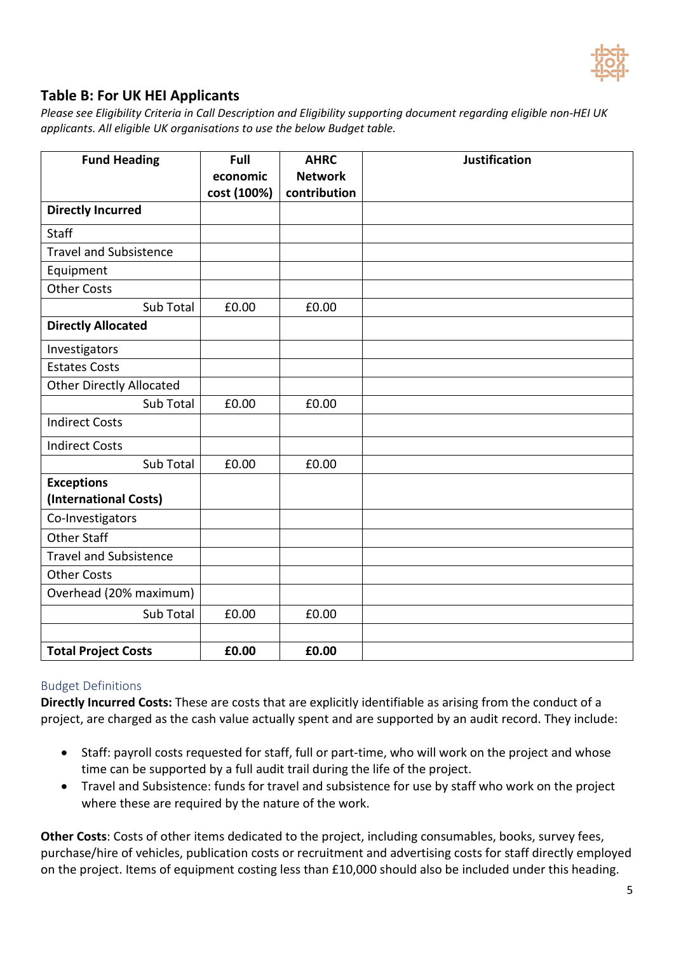

### **Table B: For UK HEI Applicants**

*Please see Eligibility Criteria in Call Description and Eligibility supporting document regarding eligible non-HEI UK applicants. All eligible UK organisations to use the below Budget table.*

| <b>Fund Heading</b>             | Full<br>economic | <b>AHRC</b><br><b>Network</b> | <b>Justification</b> |
|---------------------------------|------------------|-------------------------------|----------------------|
| <b>Directly Incurred</b>        | cost (100%)      | contribution                  |                      |
|                                 |                  |                               |                      |
| <b>Staff</b>                    |                  |                               |                      |
| <b>Travel and Subsistence</b>   |                  |                               |                      |
| Equipment                       |                  |                               |                      |
| <b>Other Costs</b>              |                  |                               |                      |
| Sub Total                       | £0.00            | £0.00                         |                      |
| <b>Directly Allocated</b>       |                  |                               |                      |
| Investigators                   |                  |                               |                      |
| <b>Estates Costs</b>            |                  |                               |                      |
| <b>Other Directly Allocated</b> |                  |                               |                      |
| Sub Total                       | £0.00            | £0.00                         |                      |
| <b>Indirect Costs</b>           |                  |                               |                      |
| <b>Indirect Costs</b>           |                  |                               |                      |
| Sub Total                       | £0.00            | £0.00                         |                      |
| <b>Exceptions</b>               |                  |                               |                      |
| (International Costs)           |                  |                               |                      |
| Co-Investigators                |                  |                               |                      |
| <b>Other Staff</b>              |                  |                               |                      |
| <b>Travel and Subsistence</b>   |                  |                               |                      |
| <b>Other Costs</b>              |                  |                               |                      |
| Overhead (20% maximum)          |                  |                               |                      |
| Sub Total                       | £0.00            | £0.00                         |                      |
|                                 |                  |                               |                      |
| <b>Total Project Costs</b>      | £0.00            | £0.00                         |                      |

#### Budget Definitions

**Directly Incurred Costs:** These are costs that are explicitly identifiable as arising from the conduct of a project, are charged as the cash value actually spent and are supported by an audit record. They include:

- Staff: payroll costs requested for staff, full or part-time, who will work on the project and whose time can be supported by a full audit trail during the life of the project.
- Travel and Subsistence: funds for travel and subsistence for use by staff who work on the project where these are required by the nature of the work.

**Other Costs**: Costs of other items dedicated to the project, including consumables, books, survey fees, purchase/hire of vehicles, publication costs or recruitment and advertising costs for staff directly employed on the project. Items of equipment costing less than £10,000 should also be included under this heading.